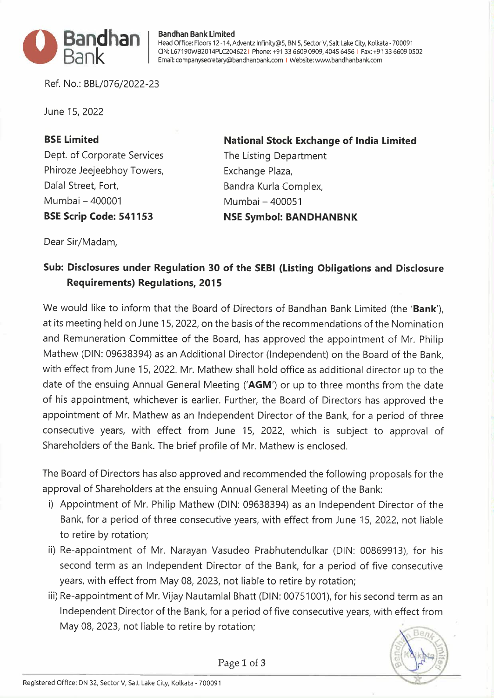

## **Bandhan Bank Limited**

Head Office: Floors 12 -14, Adventz lnfinity@5, BN 5, Sector V, Salt Lake City, Kolkata - 700091 CIN: L67190WB2014PLC204622 I Phone: +91 33 6609 0909, 4045 6456 I Fax: +91 33 6609 0502 Email: companysecretary@bandhanbank.com I Website: www.bandhanbank.com

Ref. No.: BBL/076/2022-23

June 15, 2022

## **BSE Limited**

Dept. of Corporate Services Phiroze Jeejeebhoy Towers, Dalal Street, Fort, Mumbai -400001 **BSE Scrip Code: 541153** 

**National Stock Exchange of India Limited** 

The Listing Department Exchange Plaza, Bandra Kurla Complex, Mumbai - 400051 **NSE Symbol: BANDHANBNK** 

Dear Sir/Madam,

## **Sub: Disclosures under Regulation 30 of the SEBI (Listing Obligations and Disclosure Requirements) Regulations, 2015**

We would like to inform that the Board of Directors of Bandhan Bank Limited (the **'Bank'),**  at its meeting held on June 15, 2022, on the basis of the recommendations of the Nomination and Remuneration Committee of the Board, has approved the appointment of Mr. Philip Mathew (DIN: 09638394) as an Additional Director (Independent) on the Board of the Bank, with effect from June 15, 2022. Mr. Mathew shall hold office as additional director up to the date of the ensuing Annual General Meeting **('AGM')** or up to three months from the date of his appointment, whichever is earlier. Further, the Board of Directors has approved the appointment of Mr. Mathew as an Independent Director of the Bank, for a period of three consecutive years, with effect from June 15, 2022, which is subject to approval of Shareholders of the Bank. The brief profile of Mr. Mathew is enclosed.

The Board of Directors has also approved and recommended the following proposals for the approval of Shareholders at the ensuing Annual General Meeting of the Bank:

- i) Appointment of Mr. Philip Mathew (DIN: 09638394) as an Independent Director of the Bank, for a period of three consecutive years, with effect from June 15, 2022, not liable to retire by rotation;
- ii) Re-appointment of Mr. Narayan Vasudeo Prabhutendulkar (DIN: 00869913), for his second term as an Independent Director of the Bank, for a period of five consecutive years, with effect from May 08, 2023, not liable to retire by rotation;
- iii) Re-appointment of Mr. Vijay Nautamlal Bhatt (DIN: 00751001), for his second term as an Independent Director of the Bank, for a period of five consecutive years, with effect from May 08, 2023, not liable to retire by rotation;



Page **1** of **3**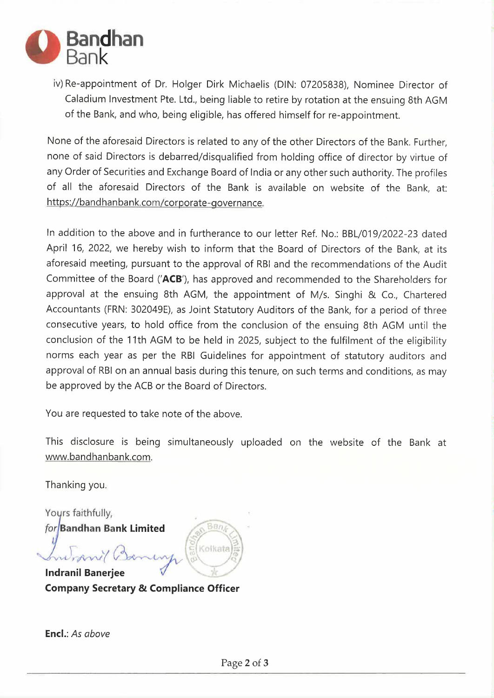

iv) Re-appointment of Dr. Helger Dirk Michaelis (DIN: 07205838), Nominee Director of Caladium Investment Pte. Ltd., being liable to retire by rotation at the ensuing 8th AGM of the Bank, and who, being eligible, has offered himself for re-appointment.

None of the aforesaid Directors is related to any of the other Directors of the Bank. Further, none of said Directors is debarred/disqualified from holding office of director by virtue of any Order of Securities and Exchange Board of India or any other such authority. The profiles of all the aforesaid Directors of the Bank is available on website of the Bank, at: https://bandhanbank.com/corporate-governance.

In addition to the above and in furtherance to our letter Ref. No.: BBL/019/2022-23 dated April 16, 2022, we hereby wish to inform that the Board of Directors of the Bank, at its aforesaid meeting, pursuant to the approval of RBI and the recommendations of the Audit Committee of the Board **('ACB'),** has approved and recommended to the Shareholders for approval at the ensuing 8th AGM, the appointment of M/s. Singhi & Co., Chartered Accountants (FRN: 302049E), as Joint Statutory Auditors of the Bank, for a period of three consecutive years, to hold office from the conclusion of the ensuing 8th AGM until the conclusion of the 11th AGM to be held in 2025, subject to the fulfilment of the eligibility norms each year as per the RBI Guidelines for appointment of statutory auditors and approval of RBI on an annual basis during this tenure, on such terms and conditions, as may be approved by the ACB or the Board of Directors.

You are requested to take note of the above.

This disclosure is being simultaneously uploaded on the website of the Bank at www.bandhanbank.com.

Thanking you.

Yours faithfully, for Bandhan Bank Limited

Ban Kolkata

**Indranil Baneriee Company Secretary & Compliance Officer**